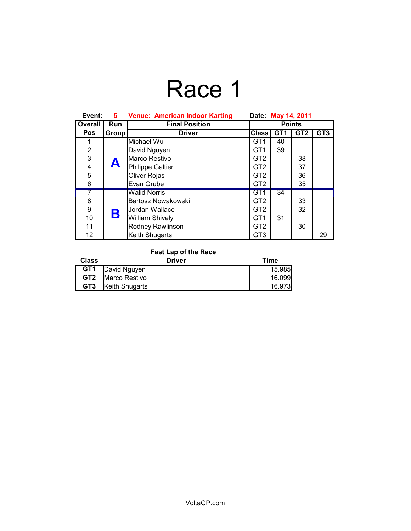# Race 1

| Event:         | 5.    | <b>Venue: American Indoor Karting</b> | Date: May 14, 2011 |                 |                 |                 |
|----------------|-------|---------------------------------------|--------------------|-----------------|-----------------|-----------------|
| <b>Overall</b> | Run   | <b>Final Position</b>                 | <b>Points</b>      |                 |                 |                 |
| <b>Pos</b>     | Group | <b>Driver</b>                         | <b>Class</b>       | GT <sub>1</sub> | GT <sub>2</sub> | GT <sub>3</sub> |
|                |       | Michael Wu                            | GT <sub>1</sub>    | 40              |                 |                 |
| $\overline{2}$ |       | David Nguyen                          | GT <sub>1</sub>    | 39              |                 |                 |
| 3              |       | Marco Restivo                         | GT <sub>2</sub>    |                 | 38              |                 |
| 4              | A     | Philippe Galtier                      | GT <sub>2</sub>    |                 | 37              |                 |
| 5              |       | Oliver Rojas                          | GT <sub>2</sub>    |                 | 36              |                 |
| 6              |       | Evan Grube                            | GT <sub>2</sub>    |                 | 35              |                 |
| 7              | Β     | <b>Walid Norris</b>                   | GT <sub>1</sub>    | 34              |                 |                 |
| 8              |       | Bartosz Nowakowski                    | GT <sub>2</sub>    |                 | 33              |                 |
| 9              |       | Jordan Wallace                        | GT <sub>2</sub>    |                 | 32              |                 |
| 10             |       | William Shively                       | GT <sub>1</sub>    | 31              |                 |                 |
| 11             |       | Rodney Rawlinson                      | GT <sub>2</sub>    |                 | 30              |                 |
| 12             |       | Keith Shugarts                        | GT <sub>3</sub>    |                 |                 | 29              |

### **Fast Lap of the Race**

| <b>Class</b>    | Driver                  | Time   |
|-----------------|-------------------------|--------|
|                 | <b>GT1</b> David Nguyen | 15.985 |
|                 | GT2   Marco Restivo     | 16.099 |
| GT <sub>3</sub> | Keith Shugarts          | 16.973 |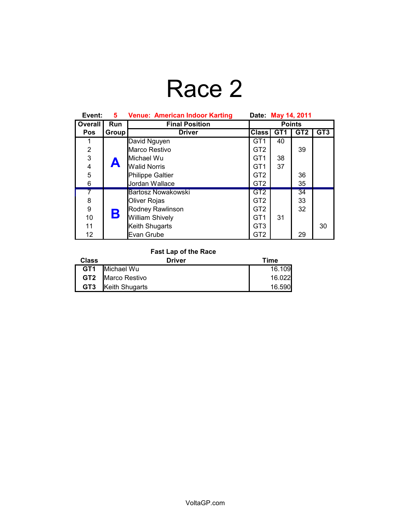## Race 2

| Event:         | 5.    | <b>Venue: American Indoor Karting</b><br>Date: May 14, 2011 |                 |                 |                 |                 |
|----------------|-------|-------------------------------------------------------------|-----------------|-----------------|-----------------|-----------------|
| Overall        | Run   | <b>Final Position</b>                                       | <b>Points</b>   |                 |                 |                 |
| <b>Pos</b>     | Group | <b>Driver</b>                                               | <b>Class</b>    | GT <sub>1</sub> | GT <sub>2</sub> | GT <sub>3</sub> |
|                |       | David Nguyen                                                | GT <sub>1</sub> | 40              |                 |                 |
| $\overline{2}$ |       | Marco Restivo                                               | GT <sub>2</sub> |                 | 39              |                 |
| 3              |       | Michael Wu                                                  | GT <sub>1</sub> | 38              |                 |                 |
| 4              | A     | <b>Walid Norris</b>                                         | GT <sub>1</sub> | 37              |                 |                 |
| 5              |       | Philippe Galtier                                            | GT <sub>2</sub> |                 | 36              |                 |
| 6              |       | Jordan Wallace                                              | GT <sub>2</sub> |                 | 35              |                 |
| 7              |       | Bartosz Nowakowski                                          | GT <sub>2</sub> |                 | 34              |                 |
| 8              | Β     | Oliver Rojas                                                | GT <sub>2</sub> |                 | 33              |                 |
| 9              |       | Rodney Rawlinson                                            | GT <sub>2</sub> |                 | 32              |                 |
| 10             |       | <b>William Shively</b>                                      | GT <sub>1</sub> | 31              |                 |                 |
| 11             |       | Keith Shugarts                                              | GT <sub>3</sub> |                 |                 | 30              |
| 12             |       | Evan Grube                                                  | GT <sub>2</sub> |                 | 29              |                 |

### **Fast Lap of the Race**

| <b>Class</b>    | Driver                   | Time   |
|-----------------|--------------------------|--------|
|                 | <b>GT1</b> Michael Wu    | 16.109 |
|                 | <b>GT2</b> Marco Restivo | 16.022 |
| GT <sub>3</sub> | Keith Shugarts           | 16.590 |